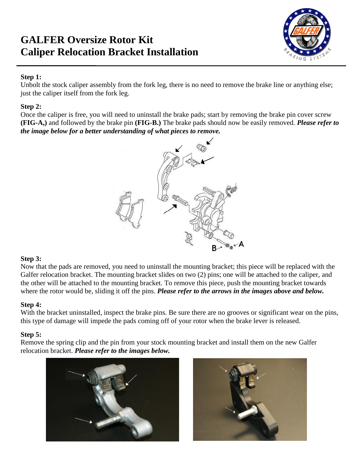# **GALFER Oversize Rotor Kit Caliper Relocation Bracket Installation**



## **Step 1:**

Unbolt the stock caliper assembly from the fork leg, there is no need to remove the brake line or anything else; just the caliper itself from the fork leg.

#### **Step 2:**

Once the caliper is free, you will need to uninstall the brake pads; start by removing the brake pin cover screw **(FIG-A,)** and followed by the brake pin **(FIG-B.)** The brake pads should now be easily removed. *Please refer to the image below for a better understanding of what pieces to remove.*



## **Step 3:**

Now that the pads are removed, you need to uninstall the mounting bracket; this piece will be replaced with the Galfer relocation bracket. The mounting bracket slides on two (2) pins; one will be attached to the caliper, and the other will be attached to the mounting bracket. To remove this piece, push the mounting bracket towards where the rotor would be, sliding it off the pins. *Please refer to the arrows in the images above and below.*

## **Step 4:**

With the bracket uninstalled, inspect the brake pins. Be sure there are no grooves or significant wear on the pins, this type of damage will impede the pads coming off of your rotor when the brake lever is released.

## **Step 5:**

Remove the spring clip and the pin from your stock mounting bracket and install them on the new Galfer relocation bracket. *Please refer to the images below.*